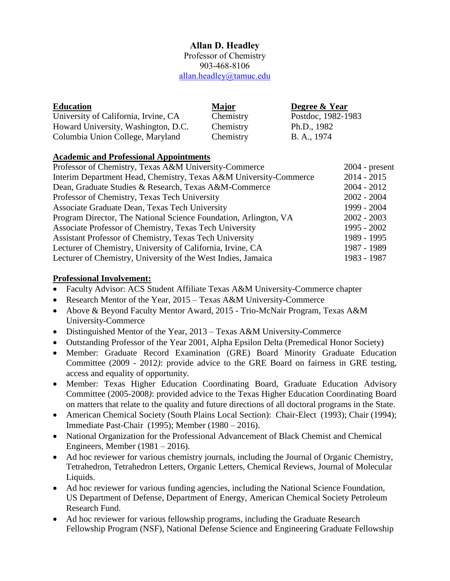# **Allan D. Headley**

Professor of Chemistry 903-468-8106 [allan.headley@tamuc.edu](mailto:allan.headley@tamuc.edu)

| <b>Education</b>                     | Major     | Degree & Year      |
|--------------------------------------|-----------|--------------------|
| University of California, Irvine, CA | Chemistry | Postdoc, 1982-1983 |
| Howard University, Washington, D.C.  | Chemistry | Ph.D., 1982        |
| Columbia Union College, Maryland     | Chemistry | B. A., 1974        |

### **Academic and Professional Appointments**

| Professor of Chemistry, Texas A&M University-Commerce             | $2004$ - present |
|-------------------------------------------------------------------|------------------|
| Interim Department Head, Chemistry, Texas A&M University-Commerce | $2014 - 2015$    |
| Dean, Graduate Studies & Research, Texas A&M-Commerce             | $2004 - 2012$    |
| Professor of Chemistry, Texas Tech University                     | $2002 - 2004$    |
| Associate Graduate Dean, Texas Tech University                    | 1999 - 2004      |
| Program Director, The National Science Foundation, Arlington, VA  | $2002 - 2003$    |
| Associate Professor of Chemistry, Texas Tech University           | $1995 - 2002$    |
| Assistant Professor of Chemistry, Texas Tech University           | 1989 - 1995      |
| Lecturer of Chemistry, University of California, Irvine, CA       | 1987 - 1989      |
| Lecturer of Chemistry, University of the West Indies, Jamaica     | 1983 - 1987      |

#### **Professional Involvement:**

- Faculty Advisor: ACS Student Affiliate Texas A&M University-Commerce chapter
- Research Mentor of the Year, 2015 Texas A&M University-Commerce
- Above & Beyond Faculty Mentor Award, 2015 Trio-McNair Program, Texas A&M University-Commerce
- Distinguished Mentor of the Year, 2013 Texas A&M University-Commerce
- Outstanding Professor of the Year 2001, Alpha Epsilon Delta (Premedical Honor Society)
- Member: Graduate Record Examination (GRE) Board Minority Graduate Education Committee (2009 - 2012*)*: provide advice to the GRE Board on fairness in GRE testing, access and equality of opportunity.
- Member: Texas Higher Education Coordinating Board, Graduate Education Advisory Committee (2005-2008*)*: provided advice to the Texas Higher Education Coordinating Board on matters that relate to the quality and future directions of all doctoral programs in the State.
- American Chemical Society (South Plains Local Section): Chair-Elect (1993); Chair (1994); Immediate Past-Chair (1995); Member (1980 – 2016).
- National Organization for the Professional Advancement of Black Chemist and Chemical Engineers, Member (1981 – 2016).
- Ad hoc reviewer for various chemistry journals, including the Journal of Organic Chemistry, Tetrahedron, Tetrahedron Letters, Organic Letters, Chemical Reviews, Journal of Molecular Liquids.
- Ad hoc reviewer for various funding agencies, including the National Science Foundation, US Department of Defense, Department of Energy, American Chemical Society Petroleum Research Fund.
- Ad hoc reviewer for various fellowship programs, including the Graduate Research Fellowship Program (NSF), National Defense Science and Engineering Graduate Fellowship